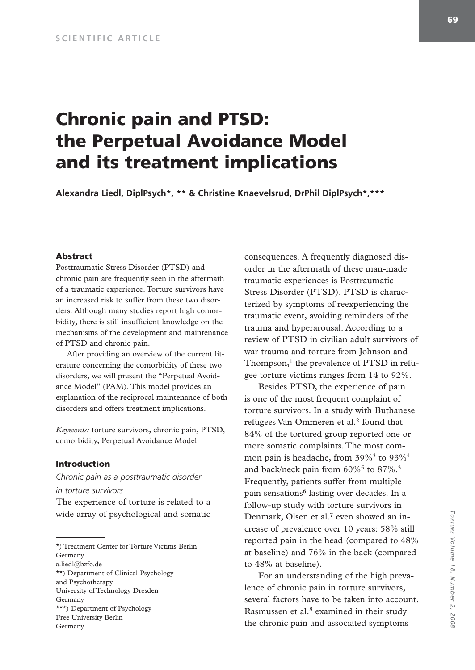# **Chronic pain and PTSD: the Perpetual Avoidance Model and its treatment implications**

**Alexandra Liedl, DiplPsych\*, \*\* & Christine Knaevelsrud, DrPhil DiplPsych\*,\*\*\*** 

# **Abstract**

Posttraumatic Stress Disorder (PTSD) and chronic pain are frequently seen in the aftermath of a traumatic experience. Torture survivors have an increased risk to suffer from these two disorders. Although many studies report high comorbidity, there is still insufficient knowledge on the mechanisms of the development and maintenance of PTSD and chronic pain.

After providing an overview of the current literature concerning the comorbidity of these two disorders, we will present the "Perpetual Avoidance Model" (PAM). This model provides an explanation of the reciprocal maintenance of both disorders and offers treatment implications.

*Keywords:* torture survivors, chronic pain, PTSD, comorbidity, Perpetual Avoidance Model

# **Introduction**

*Chronic pain as a posttraumatic disorder in torture survivors*

The experience of torture is related to a wide array of psychological and somatic

\*) Treatment Center for Torture Victims Berlin Germany a.liedl@bzfo.de \*\*) Department of Clinical Psychology and Psychotherapy University of Technology Dresden Germany \*\*\*) Department of Psychology

Free University Berlin

Germany

consequences. A frequently diagnosed disorder in the aftermath of these man-made traumatic experiences is Posttraumatic Stress Disorder (PTSD). PTSD is characterized by symptoms of reexperiencing the traumatic event, avoiding reminders of the trauma and hyperarousal. According to a review of PTSD in civilian adult survivors of war trauma and torture from Johnson and Thompson, $<sup>1</sup>$  the prevalence of PTSD in refu-</sup> gee torture victims ranges from 14 to 92%.

Besides PTSD, the experience of pain is one of the most frequent complaint of torture survivors. In a study with Buthanese refugees Van Ommeren et al.<sup>2</sup> found that 84% of the tortured group reported one or more somatic complaints. The most common pain is headache, from  $39\%$ <sup>3</sup> to  $93\%$ <sup>4</sup> and back/neck pain from  $60\%$ <sup>5</sup> to  $87\%$ .<sup>3</sup> Frequently, patients suffer from multiple pain sensations<sup>6</sup> lasting over decades. In a follow-up study with torture survivors in Denmark, Olsen et al.<sup>7</sup> even showed an increase of prevalence over 10 years: 58% still reported pain in the head (compared to 48% at baseline) and 76% in the back (compared to 48% at baseline).

For an understanding of the high prevalence of chronic pain in torture survivors, several factors have to be taken into account. Rasmussen et al.<sup>8</sup> examined in their study the chronic pain and associated symptoms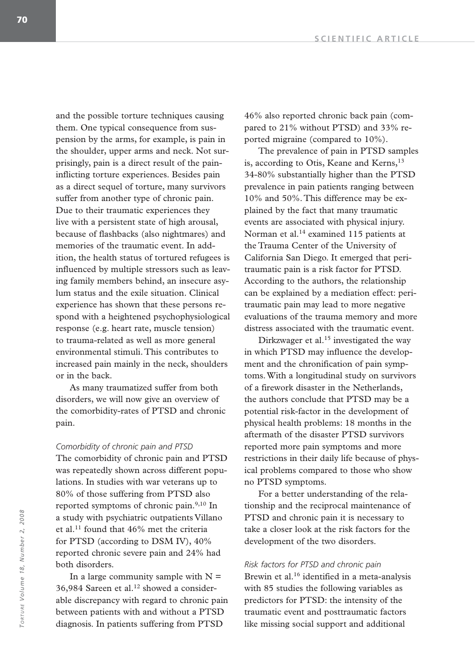and the possible torture techniques causing them. One typical consequence from suspension by the arms, for example, is pain in the shoulder, upper arms and neck. Not surprisingly, pain is a direct result of the paininflicting torture experiences. Besides pain as a direct sequel of torture, many survivors suffer from another type of chronic pain. Due to their traumatic experiences they live with a persistent state of high arousal, because of flashbacks (also nightmares) and memories of the traumatic event. In addition, the health status of tortured refugees is influenced by multiple stressors such as leaving family members behind, an insecure asylum status and the exile situation. Clinical experience has shown that these persons respond with a heightened psychophysiological response (e.g. heart rate, muscle tension) to trauma-related as well as more general environmental stimuli. This contributes to increased pain mainly in the neck, shoulders or in the back.

As many traumatized suffer from both disorders, we will now give an overview of the comorbidity-rates of PTSD and chronic pain.

# *Comorbidity of chronic pain and PTSD*

The comorbidity of chronic pain and PTSD was repeatedly shown across different populations. In studies with war veterans up to 80% of those suffering from PTSD also reported symptoms of chronic pain.<sup>9,10</sup> In a study with psychiatric outpatients Villano et al.11 found that 46% met the criteria for PTSD (according to DSM IV), 40% reported chronic severe pain and 24% had both disorders.

In a large community sample with  $N =$ 36,984 Sareen et al.<sup>12</sup> showed a considerable discrepancy with regard to chronic pain between patients with and without a PTSD diagnosis. In patients suffering from PTSD

46% also reported chronic back pain (compared to 21% without PTSD) and 33% reported migraine (compared to 10%).

The prevalence of pain in PTSD samples is, according to Otis, Keane and Kerns,<sup>13</sup> 34-80% substantially higher than the PTSD prevalence in pain patients ranging between 10% and 50%. This difference may be explained by the fact that many traumatic events are associated with physical injury. Norman et al.14 examined 115 patients at the Trauma Center of the University of California San Diego. It emerged that peritraumatic pain is a risk factor for PTSD. According to the authors, the relationship can be explained by a mediation effect: peritraumatic pain may lead to more negative evaluations of the trauma memory and more distress associated with the traumatic event.

Dirkzwager et al.<sup>15</sup> investigated the way in which PTSD may influence the development and the chronification of pain symptoms. With a longitudinal study on survivors of a firework disaster in the Netherlands, the authors conclude that PTSD may be a potential risk-factor in the development of physical health problems: 18 months in the aftermath of the disaster PTSD survivors reported more pain symptoms and more restrictions in their daily life because of physical problems compared to those who show no PTSD symptoms.

For a better understanding of the relationship and the reciprocal maintenance of PTSD and chronic pain it is necessary to take a closer look at the risk factors for the development of the two disorders.

*Risk factors for PTSD and chronic pain* Brewin et al.<sup>16</sup> identified in a meta-analysis with 85 studies the following variables as predictors for PTSD: the intensity of the traumatic event and posttraumatic factors like missing social support and additional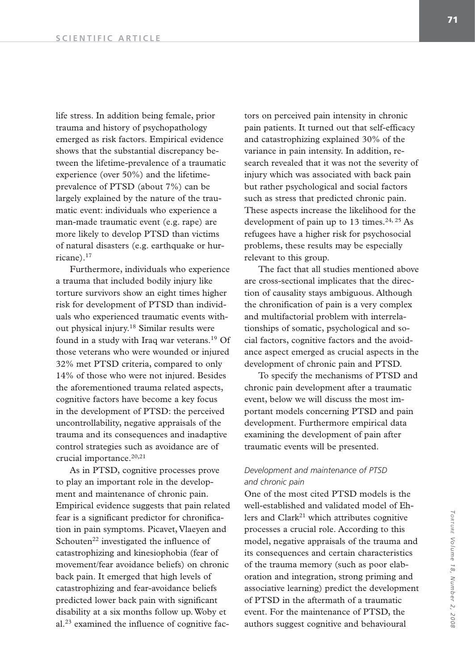life stress. In addition being female, prior trauma and history of psychopathology emerged as risk factors. Empirical evidence shows that the substantial discrepancy between the lifetime-prevalence of a traumatic experience (over 50%) and the lifetimeprevalence of PTSD (about 7%) can be largely explained by the nature of the traumatic event: individuals who experience a man-made traumatic event (e.g. rape) are more likely to develop PTSD than victims of natural disasters (e.g. earthquake or hurricane).17

Furthermore, individuals who experience a trauma that included bodily injury like torture survivors show an eight times higher risk for development of PTSD than individuals who experienced traumatic events without physical injury.18 Similar results were found in a study with Iraq war veterans.19 Of those veterans who were wounded or injured 32% met PTSD criteria, compared to only 14% of those who were not injured. Besides the aforementioned trauma related aspects, cognitive factors have become a key focus in the development of PTSD: the perceived uncontrollability, negative appraisals of the trauma and its consequences and inadaptive control strategies such as avoidance are of crucial importance.<sup>20,21</sup>

As in PTSD, cognitive processes prove to play an important role in the development and maintenance of chronic pain. Empirical evidence suggests that pain related fear is a significant predictor for chronification in pain symptoms. Picavet, Vlaeyen and Schouten<sup>22</sup> investigated the influence of catastrophizing and kinesiophobia (fear of movement/fear avoidance beliefs) on chronic back pain. It emerged that high levels of catastrophizing and fear-avoidance beliefs predicted lower back pain with significant disability at a six months follow up. Woby et al.23 examined the influence of cognitive fac-

tors on perceived pain intensity in chronic pain patients. It turned out that self-efficacy and catastrophizing explained 30% of the variance in pain intensity. In addition, research revealed that it was not the severity of injury which was associated with back pain but rather psychological and social factors such as stress that predicted chronic pain. These aspects increase the likelihood for the development of pain up to 13 times. $24, 25$  As refugees have a higher risk for psychosocial problems, these results may be especially relevant to this group.

The fact that all studies mentioned above are cross-sectional implicates that the direction of causality stays ambiguous. Although the chronification of pain is a very complex and multifactorial problem with interrelationships of somatic, psychological and social factors, cognitive factors and the avoidance aspect emerged as crucial aspects in the development of chronic pain and PTSD.

To specify the mechanisms of PTSD and chronic pain development after a traumatic event, below we will discuss the most important models concerning PTSD and pain development. Furthermore empirical data examining the development of pain after traumatic events will be presented.

# *Development and maintenance of PTSD and chronic pain*

One of the most cited PTSD models is the well-established and validated model of Ehlers and  $Clark<sup>21</sup>$  which attributes cognitive processes a crucial role. According to this model, negative appraisals of the trauma and its consequences and certain characteristics of the trauma memory (such as poor elaboration and integration, strong priming and associative learning) predict the development of PTSD in the aftermath of a traumatic event. For the maintenance of PTSD, the authors suggest cognitive and behavioural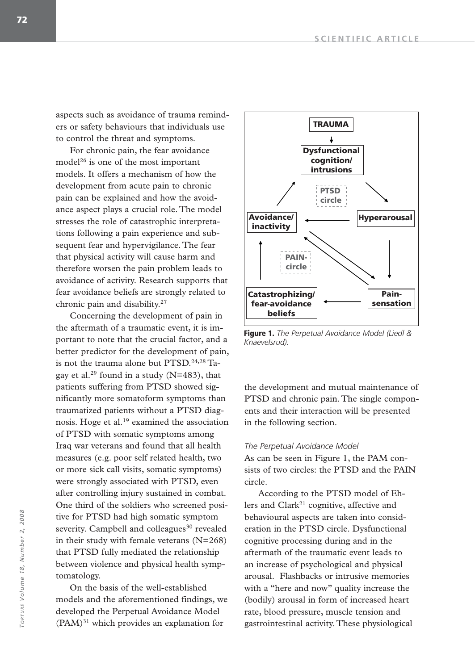aspects such as avoidance of trauma reminders or safety behaviours that individuals use to control the threat and symptoms.

For chronic pain, the fear avoidance model26 is one of the most important models. It offers a mechanism of how the development from acute pain to chronic pain can be explained and how the avoidance aspect plays a crucial role. The model stresses the role of catastrophic interpretations following a pain experience and subsequent fear and hypervigilance. The fear that physical activity will cause harm and therefore worsen the pain problem leads to avoidance of activity. Research supports that fear avoidance beliefs are strongly related to chronic pain and disability.27

Concerning the development of pain in the aftermath of a traumatic event, it is important to note that the crucial factor, and a better predictor for the development of pain, is not the trauma alone but PTSD.<sup>24,28</sup> Tagay et al.<sup>29</sup> found in a study  $(N=483)$ , that patients suffering from PTSD showed significantly more somatoform symptoms than traumatized patients without a PTSD diagnosis. Hoge et al.19 examined the association of PTSD with somatic symptoms among Iraq war veterans and found that all health measures (e.g. poor self related health, two or more sick call visits, somatic symptoms) were strongly associated with PTSD, even after controlling injury sustained in combat. One third of the soldiers who screened positive for PTSD had high somatic symptom severity. Campbell and colleagues<sup>30</sup> revealed in their study with female veterans (N=268) that PTSD fully mediated the relationship between violence and physical health symptomatology.

On the basis of the well-established models and the aforementioned findings, we developed the Perpetual Avoidance Model  $(PAM)^{31}$  which provides an explanation for



**Figure 1.** *The Perpetual Avoidance Model (Liedl & Knaevelsrud).*

the development and mutual maintenance of PTSD and chronic pain. The single components and their interaction will be presented in the following section.

#### *The Perpetual Avoidance Model*

As can be seen in Figure 1, the PAM consists of two circles: the PTSD and the PAIN circle.

According to the PTSD model of Ehlers and Clark<sup>21</sup> cognitive, affective and behavioural aspects are taken into consideration in the PTSD circle. Dysfunctional cognitive processing during and in the aftermath of the traumatic event leads to an increase of psychological and physical arousal. Flashbacks or intrusive memories with a "here and now" quality increase the (bodily) arousal in form of increased heart rate, blood pressure, muscle tension and gastrointestinal activity. These physiological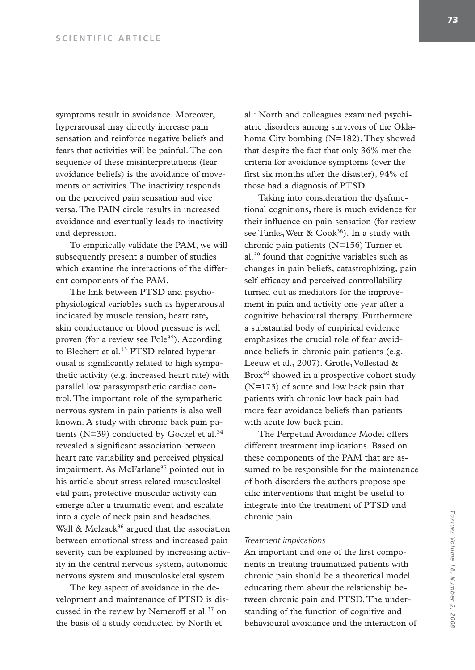symptoms result in avoidance. Moreover, hyperarousal may directly increase pain sensation and reinforce negative beliefs and fears that activities will be painful. The consequence of these misinterpretations (fear avoidance beliefs) is the avoidance of movements or activities. The inactivity responds on the perceived pain sensation and vice versa. The PAIN circle results in increased avoidance and eventually leads to inactivity and depression.

To empirically validate the PAM, we will subsequently present a number of studies which examine the interactions of the different components of the PAM.

The link between PTSD and psychophysiological variables such as hyperarousal indicated by muscle tension, heart rate, skin conductance or blood pressure is well proven (for a review see Pole<sup>32</sup>). According to Blechert et al.<sup>33</sup> PTSD related hyperarousal is significantly related to high sympathetic activity (e.g. increased heart rate) with parallel low parasympathetic cardiac control. The important role of the sympathetic nervous system in pain patients is also well known. A study with chronic back pain patients ( $N=39$ ) conducted by Gockel et al.<sup>34</sup> revealed a significant association between heart rate variability and perceived physical impairment. As McFarlane<sup>35</sup> pointed out in his article about stress related musculoskeletal pain, protective muscular activity can emerge after a traumatic event and escalate into a cycle of neck pain and headaches. Wall  $\&$  Melzack<sup>36</sup> argued that the association between emotional stress and increased pain severity can be explained by increasing activity in the central nervous system, autonomic nervous system and musculoskeletal system.

The key aspect of avoidance in the development and maintenance of PTSD is discussed in the review by Nemeroff et al.<sup>37</sup> on the basis of a study conducted by North et

al.: North and colleagues examined psychiatric disorders among survivors of the Oklahoma City bombing (N=182). They showed that despite the fact that only 36% met the criteria for avoidance symptoms (over the first six months after the disaster), 94% of those had a diagnosis of PTSD.

Taking into consideration the dysfunctional cognitions, there is much evidence for their influence on pain-sensation (for review see Tunks, Weir & Cook<sup>38</sup>). In a study with chronic pain patients (N=156) Turner et al.39 found that cognitive variables such as changes in pain beliefs, catastrophizing, pain self-efficacy and perceived controllability turned out as mediators for the improvement in pain and activity one year after a cognitive behavioural therapy. Furthermore a substantial body of empirical evidence emphasizes the crucial role of fear avoidance beliefs in chronic pain patients (e.g. Leeuw et al., 2007). Grotle, Vollestad & Brox<sup>40</sup> showed in a prospective cohort study (N=173) of acute and low back pain that patients with chronic low back pain had more fear avoidance beliefs than patients with acute low back pain.

The Perpetual Avoidance Model offers different treatment implications. Based on these components of the PAM that are assumed to be responsible for the maintenance of both disorders the authors propose specific interventions that might be useful to integrate into the treatment of PTSD and chronic pain.

#### *Treatment implications*

An important and one of the first components in treating traumatized patients with chronic pain should be a theoretical model educating them about the relationship between chronic pain and PTSD. The understanding of the function of cognitive and behavioural avoidance and the interaction of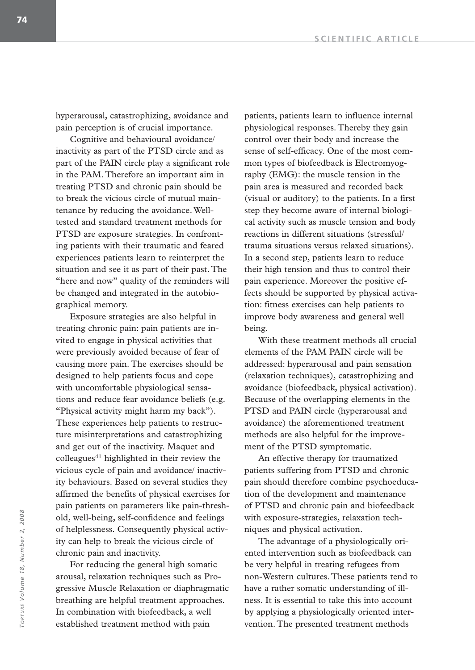hyperarousal, catastrophizing, avoidance and pain perception is of crucial importance.

Cognitive and behavioural avoidance/ inactivity as part of the PTSD circle and as part of the PAIN circle play a significant role in the PAM. Therefore an important aim in treating PTSD and chronic pain should be to break the vicious circle of mutual maintenance by reducing the avoidance. Welltested and standard treatment methods for PTSD are exposure strategies. In confronting patients with their traumatic and feared experiences patients learn to reinterpret the situation and see it as part of their past. The "here and now" quality of the reminders will be changed and integrated in the autobiographical memory.

Exposure strategies are also helpful in treating chronic pain: pain patients are invited to engage in physical activities that were previously avoided because of fear of causing more pain. The exercises should be designed to help patients focus and cope with uncomfortable physiological sensations and reduce fear avoidance beliefs (e.g. "Physical activity might harm my back"). These experiences help patients to restructure misinterpretations and catastrophizing and get out of the inactivity. Maquet and  $\text{colle}$ gues<sup>41</sup> highlighted in their review the vicious cycle of pain and avoidance/ inactivity behaviours. Based on several studies they affirmed the benefits of physical exercises for pain patients on parameters like pain-threshold, well-being, self-confidence and feelings of helplessness. Consequently physical activity can help to break the vicious circle of chronic pain and inactivity.

For reducing the general high somatic arousal, relaxation techniques such as Progressive Muscle Relaxation or diaphragmatic breathing are helpful treatment approaches. In combination with biofeedback, a well established treatment method with pain

patients, patients learn to influence internal physiological responses. Thereby they gain control over their body and increase the sense of self-efficacy. One of the most common types of biofeedback is Electromyography (EMG): the muscle tension in the pain area is measured and recorded back (visual or auditory) to the patients. In a first step they become aware of internal biological activity such as muscle tension and body reactions in different situations (stressful/ trauma situations versus relaxed situations). In a second step, patients learn to reduce their high tension and thus to control their pain experience. Moreover the positive effects should be supported by physical activation: fitness exercises can help patients to improve body awareness and general well being.

With these treatment methods all crucial elements of the PAM PAIN circle will be addressed: hyperarousal and pain sensation (relaxation techniques), catastrophizing and avoidance (biofeedback, physical activation). Because of the overlapping elements in the PTSD and PAIN circle (hyperarousal and avoidance) the aforementioned treatment methods are also helpful for the improvement of the PTSD symptomatic.

An effective therapy for traumatized patients suffering from PTSD and chronic pain should therefore combine psychoeducation of the development and maintenance of PTSD and chronic pain and biofeedback with exposure-strategies, relaxation techniques and physical activation.

The advantage of a physiologically oriented intervention such as biofeedback can be very helpful in treating refugees from non-Western cultures. These patients tend to have a rather somatic understanding of illness. It is essential to take this into account by applying a physiologically oriented intervention. The presented treatment methods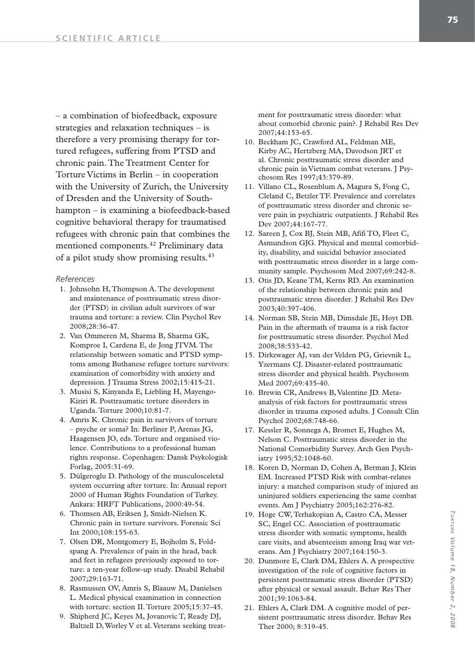– a combination of biofeedback, exposure strategies and relaxation techniques – is therefore a very promising therapy for tortured refugees, suffering from PTSD and chronic pain. The Treatment Center for Torture Victims in Berlin – in cooperation with the University of Zurich, the University of Dresden and the University of Southhampton – is examining a biofeedback-based cognitive behavioral therapy for traumatised refugees with chronic pain that combines the mentioned components.42 Preliminary data of a pilot study show promising results.43

#### *References*

- 1. Johnsohn H, Thompson A. The development and maintenance of posttraumatic stress disorder (PTSD) in civilian adult survivors of war trauma and torture: a review. Clin Psychol Rev 2008;28:36-47.
- 2. Van Ommeren M, Sharma B, Sharma GK, Komproe I, Cardena E, de Jong JTVM. The relationship between somatic and PTSD symptoms among Buthanese refugee torture survivors: examination of comorbidity with anxiety and depression. J Trauma Stress 2002;15:415-21.
- 3. Musisi S, Kinyanda E, Liebling H, Mayengo-Kiziri R. Posttraumatic torture disorders in Uganda. Torture 2000;10:81-7.
- 4. Amris K. Chronic pain in survivors of torture – psyche or soma? In: Berliner P, Arenas JG, Haagensen JO, eds. Torture and organised violence. Contributions to a professional human rights response. Copenhagen: Dansk Psykologisk Forlag, 2005:31-69.
- 5. Dülgeroglu D. Pathology of the musculosceletal system occurring after torture. In: Annual report 2000 of Human Rights Foundation of Turkey. Ankara: HRFT Publications, 2000:49-54.
- 6. Thomsen AB, Eriksen J, Smidt-Nielsen K. Chronic pain in torture survivors. Forensic Sci Int 2000;108:155-63.
- 7. Olsen DR, Montgomery E, Bojholm S, Foldspang A. Prevalence of pain in the head, back and feet in refugees previously exposed to torture: a ten-year follow-up study. Disabil Rehabil 2007;29:163-71.
- 8. Rasmussen OV, Amris S, Blaauw M, Danielsen L. Medical physical examination in connection with torture: section II. Torture 2005;15:37-45.
- 9. Shipherd JC, Keyes M, Jovanovic T, Ready DJ, Baltzell D, Worley V et al. Veterans seeking treat-

ment for posttraumatic stress disorder: what about comorbid chronic pain?. J Rehabil Res Dev 2007;44:153-65.

- 10. Beckham JC, Crawford AL, Feldman ME, Kirby AC, Hertzberg MA, Davodson JRT et al. Chronic posttraumatic stress disorder and chronic pain in Vietnam combat veterans. J Psychosom Res 1997;43:379-89.
- 11. Villano CL, Rosenblum A, Magura S, Fong C, Cleland C, Betzler TF. Prevalence and correlates of posttraumatic stress disorder and chronic severe pain in psychiatric outpatients. J Rehabil Res Dev 2007;44:167-77.
- 12. Sareen J, Cox BJ, Stein MB, Afifi TO, Fleet C, Asmundson GJG. Physical and mental comorbidity, disability, and suicidal behavior associated with posttraumatic stress disorder in a large community sample. Psychosom Med 2007;69:242-8.
- 13. Otis JD, Keane TM, Kerns RD. An examination of the relationship between chronic pain and posttraumatic stress disorder. J Rehabil Res Dev 2003;40:397-406.
- 14. Norman SB, Stein MB, Dimsdale JE, Hoyt DB. Pain in the aftermath of trauma is a risk factor for posttraumatic stress disorder. Psychol Med 2008;38:533-42.
- 15. Dirkzwager AJ, van der Velden PG, Grievnik L, Yzermans CJ. Disaster-related posttraumatic stress disorder and physical health. Psychosom Med 2007;69:435-40.
- 16. Brewin CR, Andrews B, Valentine JD. Metaanalysis of risk factors for posttraumatic stress disorder in trauma exposed adults. J Consult Clin Psychol 2002;68:748-66.
- 17. Kessler R, Sonnega A, Bromet E, Hughes M, Nelson C. Posttraumatic stress disorder in the National Comorbidity Survey. Arch Gen Psychiatry 1995;52:1048-60.
- 18. Koren D, Norman D, Cohen A, Berman J, Klein EM. Increased PTSD Risk with combat-relates injury: a matched comparison study of injured an uninjured soldiers experiencing the same combat events. Am J Psychiatry 2005;162:276-82.
- 19. Hoge CW, Terhakopian A, Castro CA, Messer SC, Engel CC. Association of posttraumatic stress disorder with somatic symptoms, health care visits, and absenteeism among Iraq war veterans. Am J Psychiatry 2007;164:150-3.
- 20. Dunmore E, Clark DM, Ehlers A. A prospective investigation of the role of cognitive factors in persistent posttraumatic stress disorder (PTSD) after physical or sexual assault. Behav Res Ther 2001;39:1063-84.
- 21. Ehlers A, Clark DM. A cognitive model of persistent posttraumatic stress disorder. Behav Res Ther 2000; 8:319-45.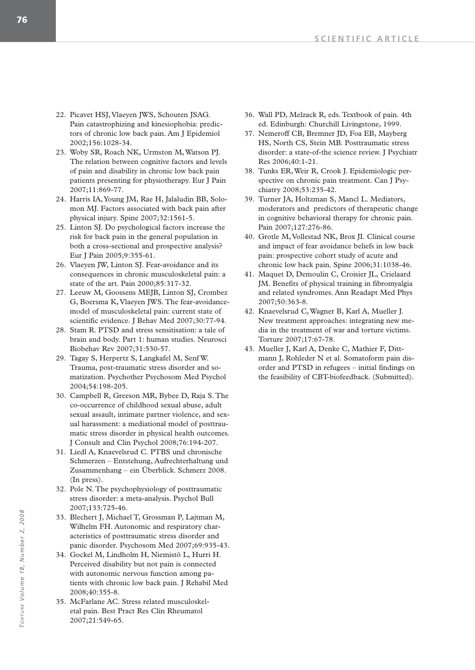- 22. Picavet HSJ, Vlaeyen JWS, Schouten JSAG. Pain catastrophizing and kinesiophobia: predictors of chronic low back pain. Am J Epidemiol 2002;156:1028-34.
- 23. Woby SR, Roach NK, Urmston M, Watson PJ. The relation between cognitive factors and levels of pain and disability in chronic low back pain patients presenting for physiotherapy. Eur J Pain 2007;11:869-77.
- 24. Harris IA, Young JM, Rae H, Jalaludin BB, Solomon MJ. Factors associated with back pain after physical injury. Spine 2007;32:1561-5.
- 25. Linton SJ. Do psychological factors increase the risk for back pain in the general population in both a cross-sectional and prospective analysis? Eur J Pain 2005;9:355-61.
- 26. Vlaeyen JW, Linton SJ. Fear-avoidance and its consequences in chronic musculoskeletal pain: a state of the art. Pain 2000;85:317-32.
- 27. Leeuw M, Goossens MEJB, Linton SJ, Crombez G, Boersma K, Vlaeyen JWS. The fear-avoidancemodel of musculoskeletal pain: current state of scientific evidence. J Behav Med 2007;30:77-94.
- 28. Stam R. PTSD and stress sensitisation: a tale of brain and body. Part 1: human studies. Neurosci Biobehav Rev 2007;31:530-57.
- 29. Tagay S, Herpertz S, Langkafel M, Senf W. Trauma, post-traumatic stress disorder and somatization. Psychother Psychosom Med Psychol 2004;54:198-205.
- 30. Campbell R, Greeson MR, Bybee D, Raja S. The co-occurrence of childhood sexual abuse, adult sexual assault, intimate partner violence, and sexual harassment: a mediational model of posttraumatic stress disorder in physical health outcomes. J Consult and Clin Psychol 2008;76:194-207.
- 31. Liedl A, Knaevelsrud C. PTBS und chronische Schmerzen – Entstehung, Aufrechterhaltung und Zusammenhang – ein Überblick. Schmerz 2008. (In press).
- 32. Pole N. The psychophysiology of posttraumatic stress disorder: a meta-analysis. Psychol Bull 2007;133:725-46.
- 33. Blechert J, Michael T, Grossman P, Lajtman M, Wilhelm FH. Autonomic and respiratory characteristics of posttraumatic stress disorder and panic disorder. Psychosom Med 2007;69:935-43.
- 34. Gockel M, Lindholm H, Niemistö L, Hurri H. Perceived disability but not pain is connected with autonomic nervous function among patients with chronic low back pain. J Rehabil Med 2008;40:355-8.
- 35. McFarlane AC. Stress related musculoskeletal pain. Best Pract Res Clin Rheumatol 2007;21:549-65.
- 36. Wall PD, Melzack R, eds. Textbook of pain. 4th ed. Edinburgh: Churchill Livingstone, 1999.
- 37. Nemeroff CB, Bremner JD, Foa EB, Mayberg HS, North CS, Stein MB. Posttraumatic stress disorder: a state-of-the science review. J Psychiatr Res 2006;40:1-21.
- 38. Tunks ER, Weir R, Crook J. Epidemiologic perspective on chronic pain treatment. Can J Psychiatry 2008;53:235-42.
- 39. Turner JA, Holtzman S, Mancl L. Mediators, moderators and predictors of therapeutic change in cognitive behavioral therapy for chronic pain. Pain 2007;127:276-86.
- 40. Grotle M, Vollestad NK, Brox JI. Clinical course and impact of fear avoidance beliefs in low back pain: prospective cohort study of acute and chronic low back pain. Spine 2006;31:1038-46.
- 41. Maquet D, Demoulin C, Croisier JL, Crielaard JM. Benefits of physical training in fibromyalgia and related syndromes. Ann Readapt Med Phys 2007;50:363-8.
- 42. Knaevelsrud C, Wagner B, Karl A, Mueller J. New treatment approaches: integrating new media in the treatment of war and torture victims. Torture 2007;17:67-78.
- 43. Mueller J, Karl A, Denke C, Mathier F, Dittmann J, Rohleder N et al. Somatoform pain disorder and PTSD in refugees – initial findings on the feasibility of CBT-biofeedback. (Submitted).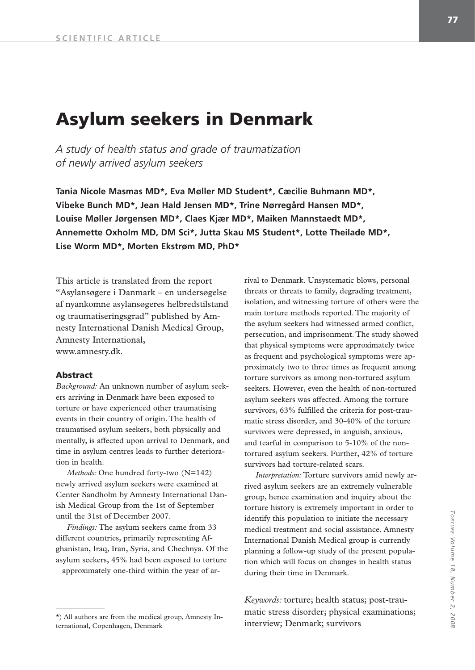# **Asylum seekers in Denmark**

*A study of health status and grade of traumatization of newly arrived asylum seekers*

**Tania Nicole Masmas MD\*, Eva Møller MD Student\*, Cæcilie Buhmann MD\*, Vibeke Bunch MD\*, Jean Hald Jensen MD\*, Trine Nørregård Hansen MD\*, Louise Møller Jørgensen MD\*, Claes Kjær MD\*, Maiken Mannstaedt MD\*, Annemette Oxholm MD, DM Sci\*, Jutta Skau MS Student\*, Lotte Theilade MD\*, Lise Worm MD\*, Morten Ekstrøm MD, PhD\***

This article is translated from the report "Asylansøgere i Danmark – en undersøgelse af nyankomne asylansøgeres helbredstilstand og traumatiseringsgrad" published by Amnesty International Danish Medical Group, Amnesty International, www.amnesty.dk.

#### **Abstract**

*Background:* An unknown number of asylum seekers arriving in Denmark have been exposed to torture or have experienced other traumatising events in their country of origin. The health of traumatised asylum seekers, both physically and mentally, is affected upon arrival to Denmark, and time in asylum centres leads to further deterioration in health.

*Methods:* One hundred forty-two (N=142) newly arrived asylum seekers were examined at Center Sandholm by Amnesty International Danish Medical Group from the 1st of September until the 31st of December 2007.

*Findings:* The asylum seekers came from 33 different countries, primarily representing Afghanistan, Iraq, Iran, Syria, and Chechnya. Of the asylum seekers, 45% had been exposed to torture – approximately one-third within the year of arrival to Denmark. Unsystematic blows, personal threats or threats to family, degrading treatment, isolation, and witnessing torture of others were the main torture methods reported. The majority of the asylum seekers had witnessed armed conflict, persecution, and imprisonment. The study showed that physical symptoms were approximately twice as frequent and psychological symptoms were approximately two to three times as frequent among torture survivors as among non-tortured asylum seekers. However, even the health of non-tortured asylum seekers was affected. Among the torture survivors, 63% fulfilled the criteria for post-traumatic stress disorder, and 30-40% of the torture survivors were depressed, in anguish, anxious, and tearful in comparison to 5-10% of the nontortured asylum seekers. Further, 42% of torture survivors had torture-related scars.

*Interpretation:* Torture survivors amid newly arrived asylum seekers are an extremely vulnerable group, hence examination and inquiry about the torture history is extremely important in order to identify this population to initiate the necessary medical treatment and social assistance. Amnesty International Danish Medical group is currently planning a follow-up study of the present population which will focus on changes in health status during their time in Denmark.

*Keywords:* torture; health status; post-traumatic stress disorder; physical examinations;

<sup>\*)</sup> All authors are from the medical group, Amnesty In-<br>
interview; Denmark; survivors<br>
interview; Denmark; survivors ternational, Copenhagen, Denmark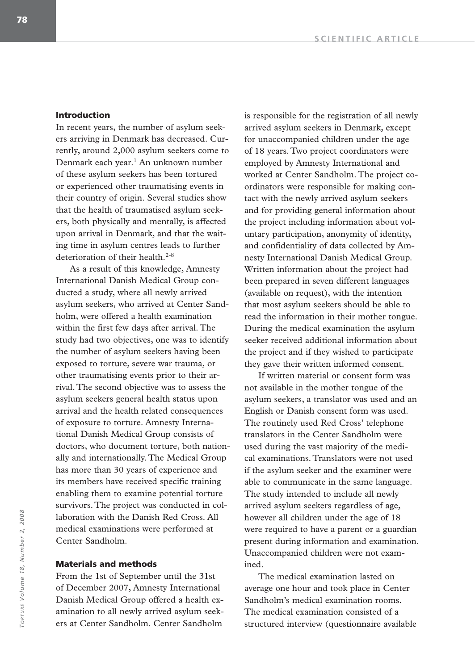# **Introduction**

In recent years, the number of asylum seekers arriving in Denmark has decreased. Currently, around 2,000 asylum seekers come to Denmark each year.<sup>1</sup> An unknown number of these asylum seekers has been tortured or experienced other traumatising events in their country of origin. Several studies show that the health of traumatised asylum seekers, both physically and mentally, is affected upon arrival in Denmark, and that the waiting time in asylum centres leads to further deterioration of their health.<sup>2-8</sup>

As a result of this knowledge, Amnesty International Danish Medical Group conducted a study, where all newly arrived asylum seekers, who arrived at Center Sandholm, were offered a health examination within the first few days after arrival. The study had two objectives, one was to identify the number of asylum seekers having been exposed to torture, severe war trauma, or other traumatising events prior to their arrival. The second objective was to assess the asylum seekers general health status upon arrival and the health related consequences of exposure to torture. Amnesty International Danish Medical Group consists of doctors, who document torture, both nationally and internationally. The Medical Group has more than 30 years of experience and its members have received specific training enabling them to examine potential torture survivors. The project was conducted in collaboration with the Danish Red Cross. All medical examinations were performed at Center Sandholm.

# **Materials and methods**

From the 1st of September until the 31st of December 2007, Amnesty International Danish Medical Group offered a health examination to all newly arrived asylum seekers at Center Sandholm. Center Sandholm

is responsible for the registration of all newly arrived asylum seekers in Denmark, except for unaccompanied children under the age of 18 years. Two project coordinators were employed by Amnesty International and worked at Center Sandholm. The project coordinators were responsible for making contact with the newly arrived asylum seekers and for providing general information about the project including information about voluntary participation, anonymity of identity, and confidentiality of data collected by Amnesty International Danish Medical Group. Written information about the project had been prepared in seven different languages (available on request), with the intention that most asylum seekers should be able to read the information in their mother tongue. During the medical examination the asylum seeker received additional information about the project and if they wished to participate they gave their written informed consent.

If written material or consent form was not available in the mother tongue of the asylum seekers, a translator was used and an English or Danish consent form was used. The routinely used Red Cross' telephone translators in the Center Sandholm were used during the vast majority of the medical examinations. Translators were not used if the asylum seeker and the examiner were able to communicate in the same language. The study intended to include all newly arrived asylum seekers regardless of age, however all children under the age of 18 were required to have a parent or a guardian present during information and examination. Unaccompanied children were not examined.

The medical examination lasted on average one hour and took place in Center Sandholm's medical examination rooms. The medical examination consisted of a structured interview (questionnaire available